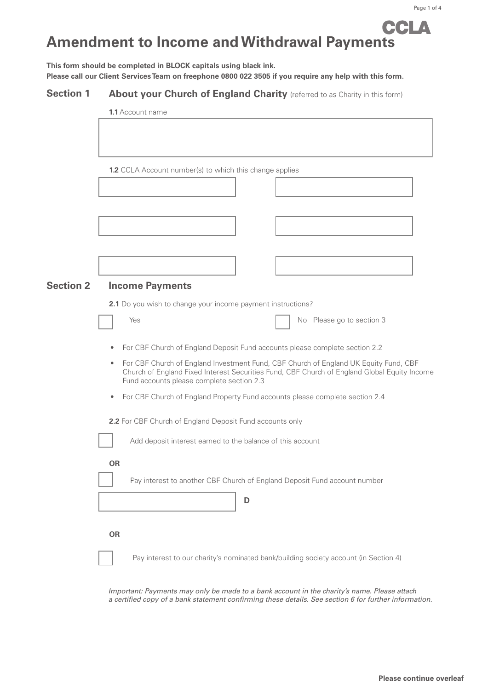# CCLA **Amendment to Income and Withdrawal Payments**

**This form should be completed in BLOCK capitals using black ink. Please call our Client Services Team on freephone 0800 022 3505 if you require any help with this form.**

#### **Section 1 About your Church of England Charity** (referred to as Charity in this form)

|                  | <b>1.1</b> Account name                                                                                                                                                                                                                        |  |  |  |  |  |
|------------------|------------------------------------------------------------------------------------------------------------------------------------------------------------------------------------------------------------------------------------------------|--|--|--|--|--|
|                  |                                                                                                                                                                                                                                                |  |  |  |  |  |
|                  |                                                                                                                                                                                                                                                |  |  |  |  |  |
|                  | <b>1.2</b> CCLA Account number(s) to which this change applies                                                                                                                                                                                 |  |  |  |  |  |
|                  |                                                                                                                                                                                                                                                |  |  |  |  |  |
|                  |                                                                                                                                                                                                                                                |  |  |  |  |  |
|                  |                                                                                                                                                                                                                                                |  |  |  |  |  |
|                  |                                                                                                                                                                                                                                                |  |  |  |  |  |
|                  |                                                                                                                                                                                                                                                |  |  |  |  |  |
| <b>Section 2</b> | <b>Income Payments</b>                                                                                                                                                                                                                         |  |  |  |  |  |
|                  | 2.1 Do you wish to change your income payment instructions?                                                                                                                                                                                    |  |  |  |  |  |
|                  | Yes<br>No Please go to section 3                                                                                                                                                                                                               |  |  |  |  |  |
|                  | For CBF Church of England Deposit Fund accounts please complete section 2.2<br>٠                                                                                                                                                               |  |  |  |  |  |
|                  | For CBF Church of England Investment Fund, CBF Church of England UK Equity Fund, CBF<br>$\bullet$<br>Church of England Fixed Interest Securities Fund, CBF Church of England Global Equity Income<br>Fund accounts please complete section 2.3 |  |  |  |  |  |
|                  | For CBF Church of England Property Fund accounts please complete section 2.4<br>٠                                                                                                                                                              |  |  |  |  |  |
|                  | 2.2 For CBF Church of England Deposit Fund accounts only                                                                                                                                                                                       |  |  |  |  |  |
|                  | Add deposit interest earned to the balance of this account                                                                                                                                                                                     |  |  |  |  |  |
|                  | <b>OR</b>                                                                                                                                                                                                                                      |  |  |  |  |  |
|                  | Pay interest to another CBF Church of England Deposit Fund account number                                                                                                                                                                      |  |  |  |  |  |
|                  | D                                                                                                                                                                                                                                              |  |  |  |  |  |
|                  |                                                                                                                                                                                                                                                |  |  |  |  |  |
|                  | <b>OR</b>                                                                                                                                                                                                                                      |  |  |  |  |  |
|                  | Pay interest to our charity's nominated bank/building society account (in Section 4)                                                                                                                                                           |  |  |  |  |  |
|                  | Important: Payments may only be made to a bank account in the charity's name. Please attach<br>a certified copy of a bank statement confirming these details. See section 6 for further information.                                           |  |  |  |  |  |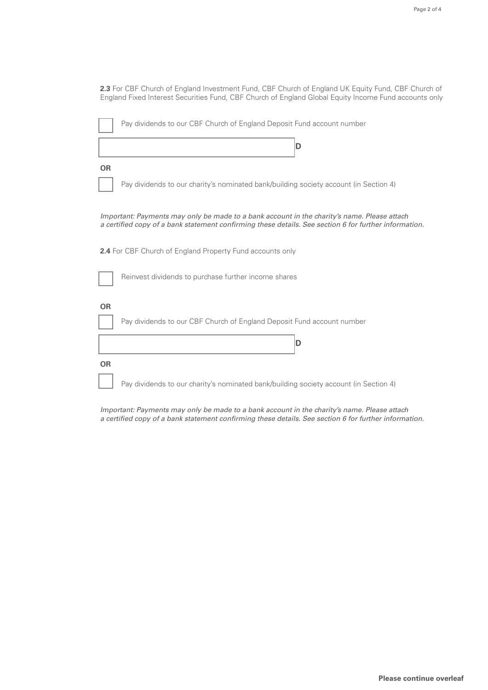**2.3** For CBF Church of England Investment Fund, CBF Church of England UK Equity Fund, CBF Church of England Fixed Interest Securities Fund, CBF Church of England Global Equity Income Fund accounts only

| Pay dividends to our CBF Church of England Deposit Fund account number                                                                                                                               |  |  |  |  |
|------------------------------------------------------------------------------------------------------------------------------------------------------------------------------------------------------|--|--|--|--|
| D                                                                                                                                                                                                    |  |  |  |  |
| <b>OR</b>                                                                                                                                                                                            |  |  |  |  |
| Pay dividends to our charity's nominated bank/building society account (in Section 4)                                                                                                                |  |  |  |  |
| Important: Payments may only be made to a bank account in the charity's name. Please attach<br>a certified copy of a bank statement confirming these details. See section 6 for further information. |  |  |  |  |
| <b>2.4</b> For CBF Church of England Property Fund accounts only                                                                                                                                     |  |  |  |  |
| Reinvest dividends to purchase further income shares                                                                                                                                                 |  |  |  |  |
| <b>OR</b>                                                                                                                                                                                            |  |  |  |  |
| Pay dividends to our CBF Church of England Deposit Fund account number                                                                                                                               |  |  |  |  |
| D                                                                                                                                                                                                    |  |  |  |  |
| <b>OR</b>                                                                                                                                                                                            |  |  |  |  |
| Pay dividends to our charity's nominated bank/building society account (in Section 4)                                                                                                                |  |  |  |  |
|                                                                                                                                                                                                      |  |  |  |  |

Important: Payments may only be made to a bank account in the charity's name. Please attach a certified copy of a bank statement confirming these details. See section 6 for further information.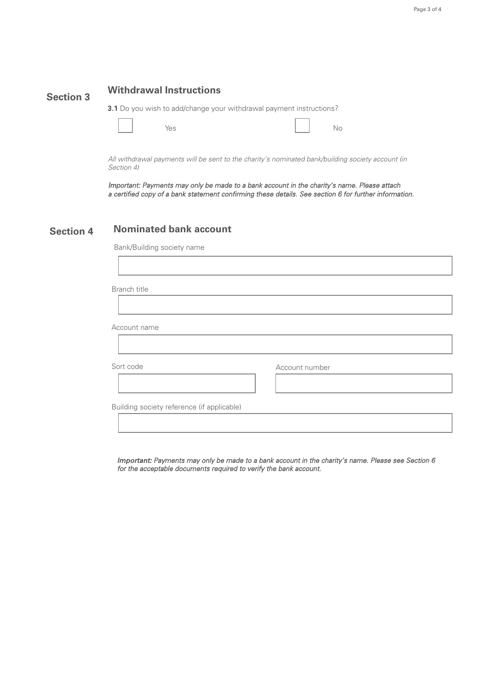### **Section 3 Withdrawal Instructions**

**3.1** Do you wish to add/change your withdrawal payment instructions?

Yes No

All withdrawal payments will be sent to the charity's nominated bank/building society account (in Section 4)

Important: Payments may only be made to a bank account in the charity's name. Please attach a certified copy of a bank statement confirming these details. See section 6 for further information.

#### **Section 4 Nominated bank account**

Bank/Building society name

Branch title

Account name

Sort code Account number

Building society reference (if applicable)

Important: Payments may only be made to a bank account in the charity's name. Please see Section 6 for the acceptable documents required to verify the bank account.